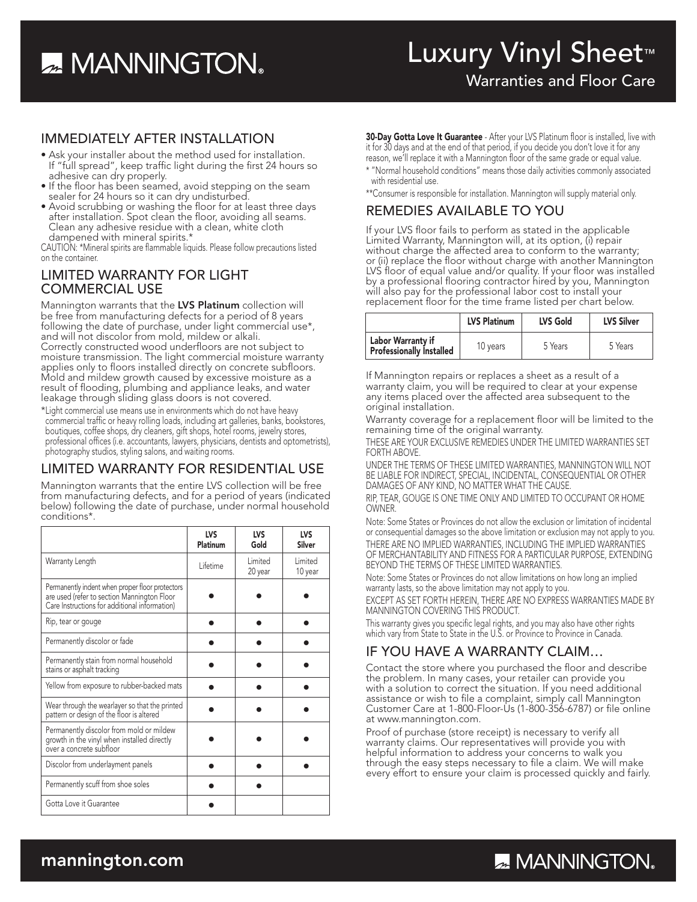# **22 MANNINGTON**

Warranties and Floor Care

### IMMEDIATELY AFTER INSTALLATION

- Ask your installer about the method used for installation. If "full spread", keep traffic light during the first 24 hours so adhesive can dry properly.
- If the floor has been seamed, avoid stepping on the seam sealer for 24 hours so it can dry undisturbed.
- Avoid scrubbing or washing the floor for at least three days after installation. Spot clean the floor, avoiding all seams. Clean any adhesive residue with a clean, white cloth
- dampened with mineral spirits.\*

CAUTION: \*Mineral spirits are flammable liquids. Please follow precautions listed on the container.

### LIMITED WARRANTY FOR LIGHT COMMERCIAL USE

Mannington warrants that the LVS Platinum collection will be free from manufacturing defects for a period of 8 years following the date of purchase, under light commercial use\*, and will not discolor from mold, mildew or alkali. Correctly constructed wood underfloors are not subject to moisture transmission. The light commercial moisture warranty applies only to floors installed directly on concrete subfloors. Mold and mildew growth caused by excessive moisture as a result of flooding, plumbing and appliance leaks, and water leakage through sliding glass doors is not covered.

\*Light commercial use means use in environments which do not have heavy commercial traffic or heavy rolling loads, including art galleries, banks, bookstores, boutiques, coffee shops, dry cleaners, gift shops, hotel rooms, jewelry stores, professional offices (i.e. accountants, lawyers, physicians, dentists and optometrists), photography studios, styling salons, and waiting rooms.

### LIMITED WARRANTY FOR RESIDENTIAL USE

Mannington warrants that the entire LVS collection will be free from manufacturing defects, and for a period of years (indicated below) following the date of purchase, under normal household conditions\*.

|                                                                                                                                                 | LVS<br>Platinum | <b>LVS</b><br>Gold  | LVS<br><b>Silver</b> |
|-------------------------------------------------------------------------------------------------------------------------------------------------|-----------------|---------------------|----------------------|
| Warranty Length                                                                                                                                 | I ifetime       | I imited<br>20 year | I imited<br>10 year  |
| Permanently indent when proper floor protectors<br>are used (refer to section Mannington Floor<br>Care Instructions for additional information) |                 |                     |                      |
| Rip, tear or gouge                                                                                                                              |                 |                     |                      |
| Permanently discolor or fade                                                                                                                    |                 |                     |                      |
| Permanently stain from normal household<br>stains or asphalt tracking                                                                           |                 |                     |                      |
| Yellow from exposure to rubber-backed mats                                                                                                      |                 |                     |                      |
| Wear through the wearlayer so that the printed<br>pattern or design of the floor is altered                                                     |                 |                     |                      |
| Permanently discolor from mold or mildew<br>growth in the vinyl when installed directly<br>over a concrete subfloor                             |                 |                     |                      |
| Discolor from underlayment panels                                                                                                               |                 |                     |                      |
| Permanently scuff from shoe soles                                                                                                               |                 |                     |                      |
| Gotta Love it Guarantee                                                                                                                         |                 |                     |                      |

**30-Day Gotta Love It Guarantee** - After your LVS Platinum floor is installed, live with it for 30 days and at the end of that period, if you decide you don't love it for any reason, we'll replace it with a Mannington floor of the same grade or equal value.

- \* "Normal household conditions" means those daily activities commonly associated with residential use.
- \*\*Consumer is responsible for installation. Mannington will supply material only.

### REMEDIES AVAILABLE TO YOU

If your LVS floor fails to perform as stated in the applicable Limited Warranty, Mannington will, at its option, (i) repair without charge the affected area to conform to the warranty; or (ii) replace the floor without charge with another Mannington LVS floor of equal value and/or quality. If your floor was installed by a professional flooring contractor hired by you, Mannington will also pay for the professional labor cost to install your replacement floor for the time frame listed per chart below.

|                                                             | <b>LVS Platinum</b> | <b>LVS Gold</b> | <b>LVS Silver</b> |
|-------------------------------------------------------------|---------------------|-----------------|-------------------|
| <b>Labor Warranty if</b><br><b>Professionally Installed</b> | 10 years            | 5 Years         | 5 Years           |

If Mannington repairs or replaces a sheet as a result of a warranty claim, you will be required to clear at your expense any items placed over the affected area subsequent to the original installation.

Warranty coverage for a replacement floor will be limited to the remaining time of the original warranty.

THESE ARE YOUR EXCLUSIVE REMEDIES UNDER THE LIMITED WARRANTIES SET FORTH ABOVE.

UNDER THE TERMS OF THESE LIMITED WARRANTIES, MANNINGTON WILL NOT BE LIABLE FOR INDIRECT, SPECIAL, INCIDENTAL, CONSEQUENTIAL OR OTHER DAMAGES OF ANY KIND, NO MATTER WHAT THE CAUSE.

RIP, TEAR, GOUGE IS ONE TIME ONLY AND LIMITED TO OCCUPANT OR HOME OWNER.

Note: Some States or Provinces do not allow the exclusion or limitation of incidental or consequential damages so the above limitation or exclusion may not apply to you. THERE ARE NO IMPLIED WARRANTIES, INCLUDING THE IMPLIED WARRANTIES OF MERCHANTABILITY AND FITNESS FOR A PARTICULAR PURPOSE, EXTENDING BEYOND THE TERMS OF THESE LIMITED WARRANTIES.

Note: Some States or Provinces do not allow limitations on how long an implied warranty lasts, so the above limitation may not apply to you.

EXCEPT AS SET FORTH HEREIN, THERE ARE NO EXPRESS WARRANTIES MADE BY MANNINGTON COVERING THIS PRODUCT.

This warranty gives you specific legal rights, and you may also have other rights which vary from State to State in the U.S. or Province to Province in Canada.

### IF YOU HAVE A WARRANTY CLAIM…

Contact the store where you purchased the floor and describe the problem. In many cases, your retailer can provide you with a solution to correct the situation. If you need additional assistance or wish to file a complaint, simply call Mannington Customer Care at 1-800-Floor-Us (1-800-356-6787) or file online at www.mannington.com.

Proof of purchase (store receipt) is necessary to verify all warranty claims. Our representatives will provide you with helpful information to address your concerns to walk you through the easy steps necessary to file a claim. We will make every effort to ensure your claim is processed quickly and fairly.

# **ZA MANNINGTON**

### mannington.com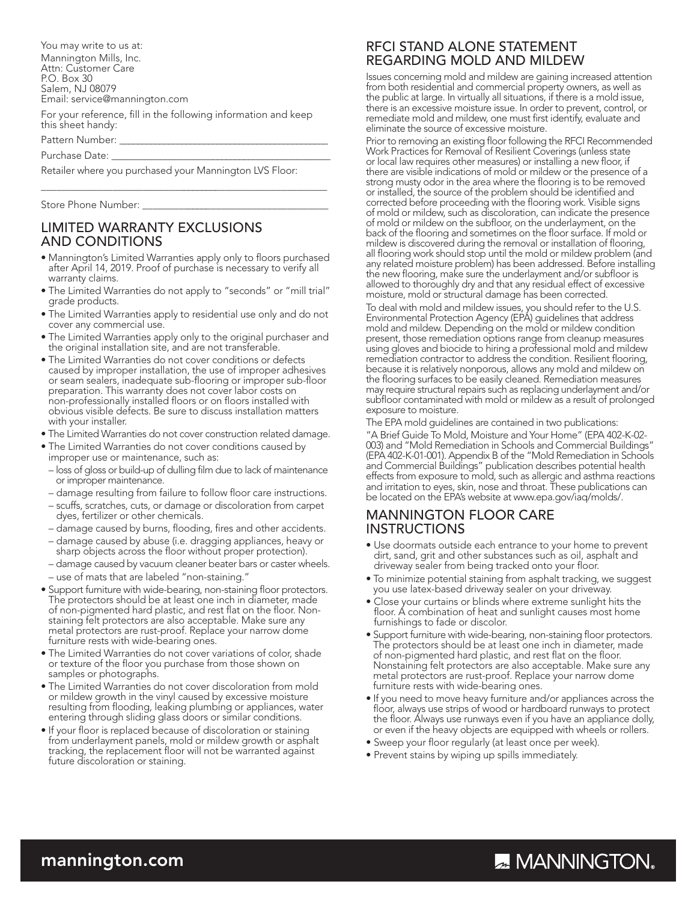You may write to us at: Mannington Mills, Inc. Attn: Customer Care P.O. Box 30 Salem, NJ 08079 Email: service@mannington.com

For your reference, fill in the following information and keep this sheet handy:

Pattern Number:

Purchase Date:

Retailer where you purchased your Mannington LVS Floor:

Store Phone Number:

### LIMITED WARRANTY EXCLUSIONS AND CONDITIONS

• Mannington's Limited Warranties apply only to floors purchased after April 14, 2019. Proof of purchase is necessary to verify all warranty claims.

\_\_\_\_\_\_\_\_\_\_\_\_\_\_\_\_\_\_\_\_\_\_\_\_\_\_\_\_\_\_\_\_\_\_\_\_\_\_\_\_\_\_\_\_\_\_\_\_\_\_\_\_\_\_\_\_\_

- The Limited Warranties do not apply to "seconds" or "mill trial" grade products.
- The Limited Warranties apply to residential use only and do not cover any commercial use.
- The Limited Warranties apply only to the original purchaser and the original installation site, and are not transferable.
- The Limited Warranties do not cover conditions or defects caused by improper installation, the use of improper adhesives or seam sealers, inadequate sub-flooring or improper sub-floor preparation. This warranty does not cover labor costs on non-professionally installed floors or on floors installed with obvious visible defects. Be sure to discuss installation matters with your installer.
- The Limited Warranties do not cover construction related damage.
- The Limited Warranties do not cover conditions caused by improper use or maintenance, such as:
- loss of gloss or build-up of dulling film due to lack of maintenance or improper maintenance.
- damage resulting from failure to follow floor care instructions.
- scuffs, scratches, cuts, or damage or discoloration from carpet dyes, fertilizer or other chemicals.
- damage caused by burns, flooding, fires and other accidents.
- damage caused by abuse (i.e. dragging appliances, heavy or sharp objects across the floor without proper protection).
- damage caused by vacuum cleaner beater bars or caster wheels.
- use of mats that are labeled "non-staining."
- Support furniture with wide-bearing, non-staining floor protectors. The protectors should be at least one inch in diameter, made of non-pigmented hard plastic, and rest flat on the floor. Nonstaining felt protectors are also acceptable. Make sure any metal protectors are rust-proof. Replace your narrow dome furniture rests with wide-bearing ones.
- The Limited Warranties do not cover variations of color, shade or texture of the floor you purchase from those shown on samples or photographs.
- The Limited Warranties do not cover discoloration from mold or mildew growth in the vinyl caused by excessive moisture resulting from flooding, leaking plumbing or appliances, water entering through sliding glass doors or similar conditions.
- If your floor is replaced because of discoloration or staining from underlayment panels, mold or mildew growth or asphalt tracking, the replacement floor will not be warranted against future discoloration or staining.

### RFCI STAND ALONE STATEMENT REGARDING MOLD AND MILDEW

Issues concerning mold and mildew are gaining increased attention from both residential and commercial property owners, as well as the public at large. In virtually all situations, if there is a mold issue, there is an excessive moisture issue. In order to prevent, control, or remediate mold and mildew, one must first identify, evaluate and eliminate the source of excessive moisture.

Prior to removing an existing floor following the RFCI Recommended Work Practices for Removal of Resilient Coverings (unless state or local law requires other measures) or installing a new floor, if there are visible indications of mold or mildew or the presence of a strong musty odor in the area where the flooring is to be removed or installed, the source of the problem should be identified and corrected before proceeding with the flooring work. Visible signs of mold or mildew, such as discoloration, can indicate the presence of mold or mildew on the subfloor, on the underlayment, on the back of the flooring and sometimes on the floor surface. If mold or mildew is discovered during the removal or installation of flooring, all flooring work should stop until the mold or mildew problem (and any related moisture problem) has been addressed. Before installing the new flooring, make sure the underlayment and/or subfloor is allowed to thoroughly dry and that any residual effect of excessive moisture, mold or structural damage has been corrected.

To deal with mold and mildew issues, you should refer to the U.S. Environmental Protection Agency (EPA) guidelines that address mold and mildew. Depending on the mold or mildew condition present, those remediation options range from cleanup measures using gloves and biocide to hiring a professional mold and mildew remediation contractor to address the condition. Resilient flooring, because it is relatively nonporous, allows any mold and mildew on the flooring surfaces to be easily cleaned. Remediation measures may require structural repairs such as replacing underlayment and/or subfloor contaminated with mold or mildew as a result of prolonged exposure to moisture.

The EPA mold guidelines are contained in two publications:

"A Brief Guide To Mold, Moisture and Your Home" (EPA 402-K-02- 003) and "Mold Remediation in Schools and Commercial Buildings" (EPA 402-K-01-001). Appendix B of the "Mold Remediation in Schools and Commercial Buildings" publication describes potential health effects from exposure to mold, such as allergic and asthma reactions and irritation to eyes, skin, nose and throat. These publications can be located on the EPA's website at www.epa.gov/iaq/molds/.

### MANNINGTON FLOOR CARE INSTRUCTIONS

- Use doormats outside each entrance to your home to prevent dirt, sand, grit and other substances such as oil, asphalt and driveway sealer from being tracked onto your floor.
- To minimize potential staining from asphalt tracking, we suggest you use latex-based driveway sealer on your driveway.
- Close your curtains or blinds where extreme sunlight hits the floor. A combination of heat and sunlight causes most home furnishings to fade or discolor.
- Support furniture with wide-bearing, non-staining floor protectors. The protectors should be at least one inch in diameter, made of non-pigmented hard plastic, and rest flat on the floor. Nonstaining felt protectors are also acceptable. Make sure any metal protectors are rust-proof. Replace your narrow dome furniture rests with wide-bearing ones.
- If you need to move heavy furniture and/or appliances across the floor, always use strips of wood or hardboard runways to protect the floor. Always use runways even if you have an appliance dolly, or even if the heavy objects are equipped with wheels or rollers.
- Sweep your floor regularly (at least once per week).
- Prevent stains by wiping up spills immediately.

### mannington.com